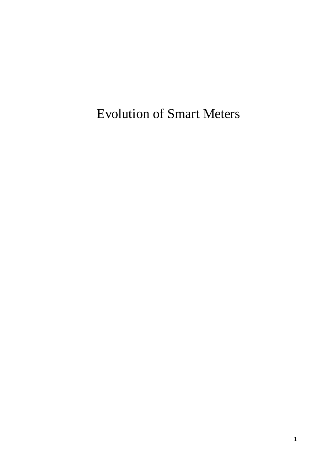Evolution of Smart Meters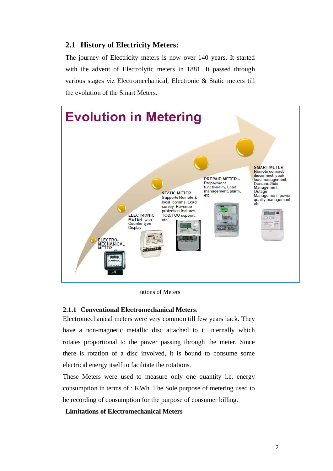# **2.1 History of Electricity Meters:**

The journey of Electricity meters is now over 140 years. It started with the advent of Electrolytic meters in 1881. It passed through various stages viz Electromechanical, Electronic & Static meters till the evolution of the Smart Meters.



utions of Meters

#### **2.1.1 Conventional Electromechanical Meters**:

Electromechanical meters were very common till few years back. They have a non-magnetic metallic disc attached to it internally which rotates proportional to the power passing through the meter. Since there is rotation of a disc involved, it is bound to consume some electrical energy itself to facilitate the rotations.

These Meters were used to measure only one quantity i.e. energy consumption in terms of : KWh. The Sole purpose of metering used to be recording of consumption for the purpose of consumer billing.

#### **Limitations of Electromechanical Meters**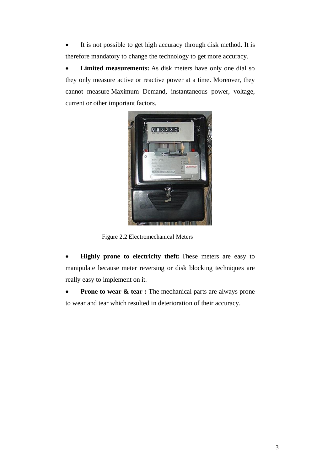It is not possible to get high accuracy through disk method. It is therefore mandatory to change the technology to get more accuracy.

 **Limited measurements:** As disk meters have only one dial so they only measure active or reactive power at a time. Moreover, they cannot measure Maximum Demand, instantaneous power, voltage, current or other important factors.



Figure 2.2 Electromechanical Meters

 **Highly prone to electricity theft:** These meters are easy to manipulate because meter reversing or disk blocking techniques are really easy to implement on it.

**Prone to wear & tear :** The mechanical parts are always prone to wear and tear which resulted in deterioration of their accuracy.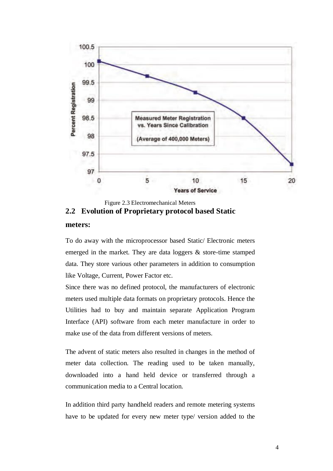

Figure 2.3 Electromechanical Meters **2.2 Evolution of Proprietary protocol based Static meters:**

To do away with the microprocessor based Static/ Electronic meters emerged in the market. They are data loggers & store-time stamped data. They store various other parameters in addition to consumption like Voltage, Current, Power Factor etc.

Since there was no defined protocol, the manufacturers of electronic meters used multiple data formats on proprietary protocols. Hence the Utilities had to buy and maintain separate Application Program Interface (API) software from each meter manufacture in order to make use of the data from different versions of meters.

The advent of static meters also resulted in changes in the method of meter data collection. The reading used to be taken manually, downloaded into a hand held device or transferred through a communication media to a Central location.

In addition third party handheld readers and remote metering systems have to be updated for every new meter type/ version added to the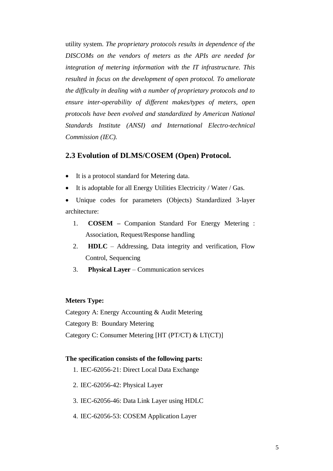utility system. *The proprietary protocols results in dependence of the DISCOMs on the vendors of meters as the APIs are needed for integration of metering information with the IT infrastructure. This resulted in focus on the development of open protocol. To ameliorate the difficulty in dealing with a number of proprietary protocols and to ensure inter-operability of different makes/types of meters, open protocols have been evolved and standardized by American National Standards Institute (ANSI) and International Electro-technical Commission (IEC).*

## **2.3 Evolution of DLMS/COSEM (Open) Protocol.**

- It is a protocol standard for Metering data.
- It is adoptable for all Energy Utilities Electricity / Water / Gas.
- Unique codes for parameters (Objects) Standardized 3-layer architecture:
	- 1. **COSEM –** Companion Standard For Energy Metering : Association, Request/Response handling
	- 2. **HDLC**  Addressing, Data integrity and verification, Flow Control, Sequencing
	- 3. **Physical Layer** Communication services

#### **Meters Type:**

Category A: Energy Accounting & Audit Metering

Category B: Boundary Metering

Category C: Consumer Metering [HT (PT/CT) & LT(CT)]

## **The specification consists of the following parts:**

- 1. IEC-62056-21: Direct Local Data Exchange
- 2. IEC-62056-42: Physical Layer
- 3. IEC-62056-46: Data Link Layer using HDLC
- 4. IEC-62056-53: COSEM Application Layer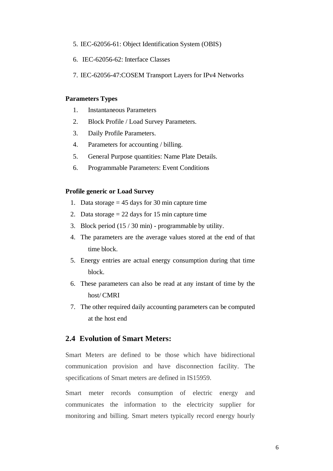- 5. IEC-62056-61: Object Identification System (OBIS)
- 6. IEC-62056-62: Interface Classes
- 7. IEC-62056-47:COSEM Transport Layers for IPv4 Networks

#### **Parameters Types**

- 1. Instantaneous Parameters
- 2. Block Profile / Load Survey Parameters.
- 3. Daily Profile Parameters.
- 4. Parameters for accounting / billing.
- 5. General Purpose quantities: Name Plate Details.
- 6. Programmable Parameters: Event Conditions

#### **Profile generic or Load Survey**

- 1. Data storage  $= 45$  days for 30 min capture time
- 2. Data storage  $= 22$  days for 15 min capture time
- 3. Block period (15 / 30 min) programmable by utility.
- 4. The parameters are the average values stored at the end of that time block.
- 5. Energy entries are actual energy consumption during that time block.
- 6. These parameters can also be read at any instant of time by the host/ CMRI
- 7. The other required daily accounting parameters can be computed at the host end

## **2.4 Evolution of Smart Meters:**

Smart Meters are defined to be those which have bidirectional communication provision and have disconnection facility. The specifications of Smart meters are defined in IS15959.

Smart meter records consumption of electric energy and communicates the information to the electricity supplier for monitoring and billing. Smart meters typically record energy hourly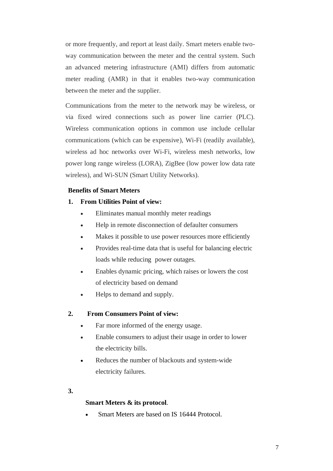or more frequently, and report at least daily. Smart meters enable twoway communication between the meter and the central system. Such an advanced metering infrastructure (AMI) differs from automatic meter reading (AMR) in that it enables two-way communication between the meter and the supplier.

Communications from the meter to the network may be wireless, or via fixed wired connections such as power line carrier (PLC). Wireless communication options in common use include cellular communications (which can be expensive), Wi-Fi (readily available), wireless ad hoc networks over Wi-Fi, wireless mesh networks, low power long range wireless (LORA), ZigBee (low power low data rate wireless), and Wi-SUN (Smart Utility Networks).

## **Benefits of Smart Meters**

## **1. From Utilities Point of view:**

- Eliminates manual monthly meter readings
- Help in remote disconnection of defaulter consumers
- Makes it possible to use power resources more efficiently
- Provides real-time data that is useful for balancing electric loads while reducing power outages.
- Enables dynamic pricing, which raises or lowers the cost of electricity based on demand
- Helps to demand and supply.

## **2. From Consumers Point of view:**

- Far more informed of the energy usage.
- Enable consumers to adjust their usage in order to lower the electricity bills.
- Reduces the number of blackouts and system-wide electricity failures.

## **3.**

## **Smart Meters & its protocol**.

Smart Meters are based on IS 16444 Protocol.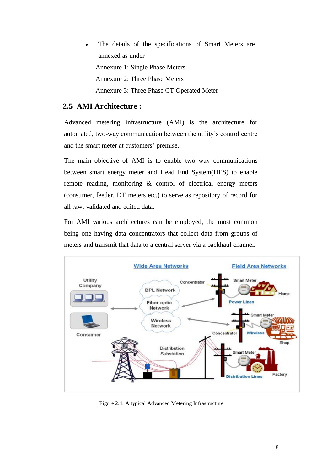The details of the specifications of Smart Meters are annexed as under Annexure 1: Single Phase Meters. Annexure 2: Three Phase Meters Annexure 3: Three Phase CT Operated Meter

# **2.5 AMI Architecture :**

Advanced metering infrastructure (AMI) is the architecture for automated, two-way communication between the utility's control centre and the smart meter at customers' premise.

The main objective of AMI is to enable two way communications between smart energy meter and Head End System(HES) to enable remote reading, monitoring & control of electrical energy meters (consumer, feeder, DT meters etc.) to serve as repository of record for all raw, validated and edited data.

For AMI various architectures can be employed, the most common being one having data concentrators that collect data from groups of meters and transmit that data to a central server via a backhaul channel.



Figure 2.4: A typical Advanced Metering Infrastructure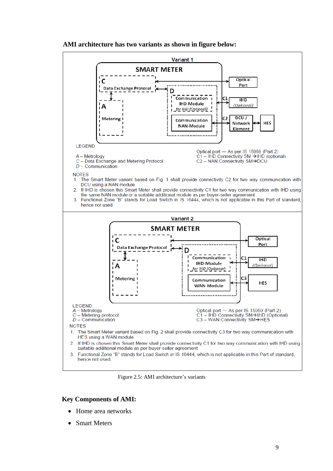

#### **AMI architecture has two variants as shown in figure below:**

Figure 2.5: AMI architecture's variants

## **Key Components of AMI:**

- Home area networks
- Smart Meters